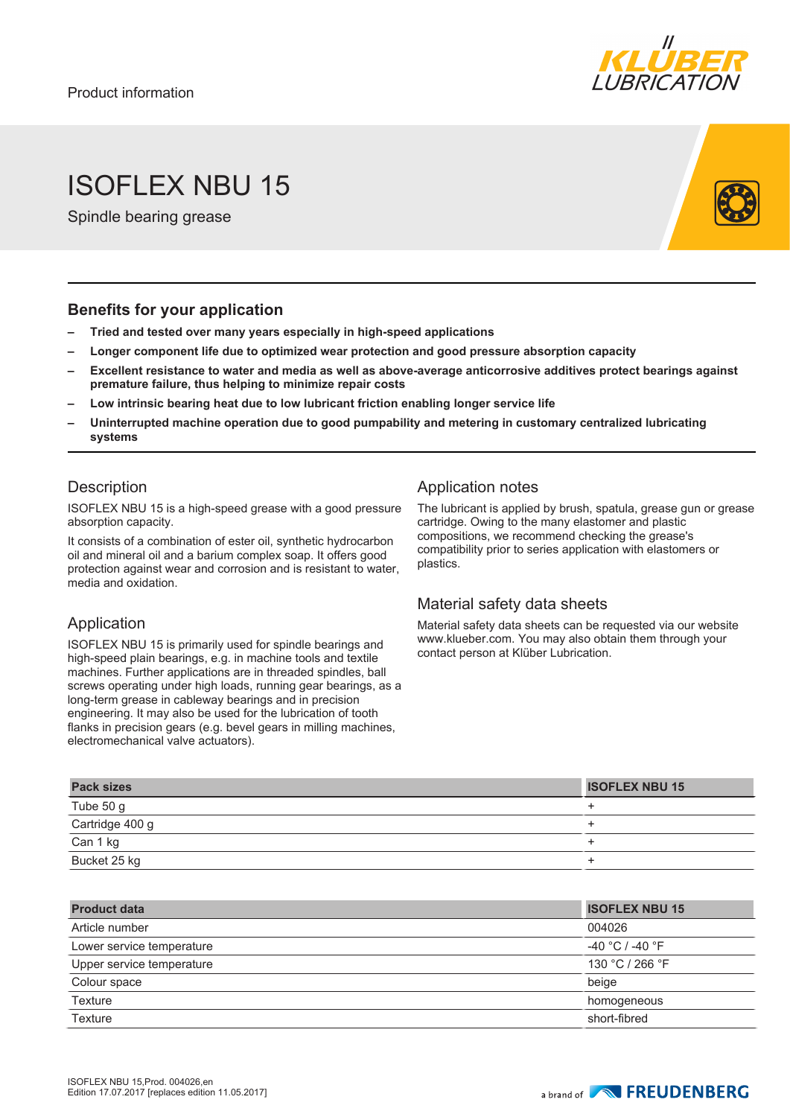

# ISOFLEX NBU 15

Spindle bearing grease

#### **Benefits for your application**

- **– Tried and tested over many years especially in high-speed applications**
- **– Longer component life due to optimized wear protection and good pressure absorption capacity**
- **– Excellent resistance to water and media as well as above-average anticorrosive additives protect bearings against premature failure, thus helping to minimize repair costs**
- **– Low intrinsic bearing heat due to low lubricant friction enabling longer service life**
- **– Uninterrupted machine operation due to good pumpability and metering in customary centralized lubricating systems**

### **Description**

ISOFLEX NBU 15 is a high-speed grease with a good pressure absorption capacity.

It consists of a combination of ester oil, synthetic hydrocarbon oil and mineral oil and a barium complex soap. It offers good protection against wear and corrosion and is resistant to water, media and oxidation.

#### Application

ISOFLEX NBU 15 is primarily used for spindle bearings and high-speed plain bearings, e.g. in machine tools and textile machines. Further applications are in threaded spindles, ball screws operating under high loads, running gear bearings, as a long-term grease in cableway bearings and in precision engineering. It may also be used for the lubrication of tooth flanks in precision gears (e.g. bevel gears in milling machines, electromechanical valve actuators).

### Application notes

The lubricant is applied by brush, spatula, grease gun or grease cartridge. Owing to the many elastomer and plastic compositions, we recommend checking the grease's compatibility prior to series application with elastomers or plastics.

#### Material safety data sheets

Material safety data sheets can be requested via our website www.klueber.com. You may also obtain them through your contact person at Klüber Lubrication.

| <b>Pack sizes</b> | <b>ISOFLEX NBU 15</b> |
|-------------------|-----------------------|
| Tube 50 g         |                       |
| Cartridge 400 g   |                       |
| Can 1 kg          |                       |
| Bucket 25 kg      |                       |

| <b>Product data</b>       | <b>ISOFLEX NBU 15</b> |
|---------------------------|-----------------------|
| Article number            | 004026                |
| Lower service temperature | $-40 °C$ / $-40 °F$   |
| Upper service temperature | 130 °C / 266 °F       |
| Colour space              | beige                 |
| Texture                   | homogeneous           |
| Texture                   | short-fibred          |